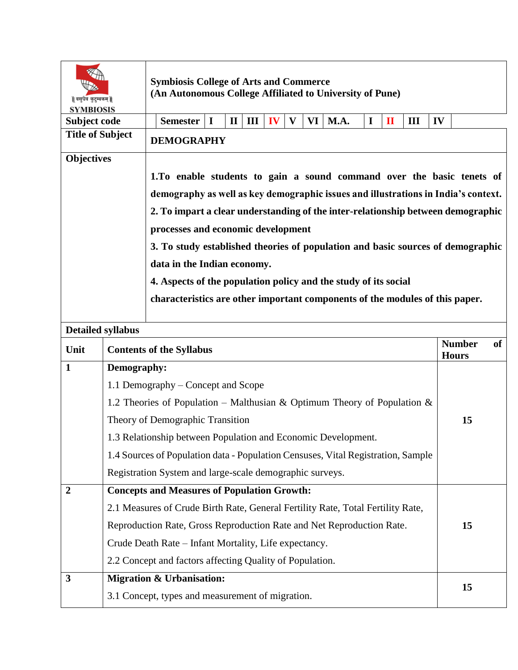| वसुधैव कुटुम्बकम्   <br><b>SYMBIOSIS</b> |             | <b>Symbiosis College of Arts and Commerce</b><br>(An Autonomous College Affiliated to University of Pune)                                           |    |                               |    |  |
|------------------------------------------|-------------|-----------------------------------------------------------------------------------------------------------------------------------------------------|----|-------------------------------|----|--|
| Subject code                             |             | <b>VI</b>   <b>M.A.</b><br><b>Semester</b><br>$\mathbf I$<br>Ш<br>$\mathbf{IV}$<br>$\mathbf{V}$<br>$\mathbf I$<br>$\mathbf{I}$<br>$\mathbf{I}$<br>Ш | IV |                               |    |  |
| <b>Title of Subject</b>                  |             | <b>DEMOGRAPHY</b>                                                                                                                                   |    |                               |    |  |
| <b>Objectives</b>                        |             |                                                                                                                                                     |    |                               |    |  |
|                                          |             | 1.To enable students to gain a sound command over the basic tenets of                                                                               |    |                               |    |  |
|                                          |             | demography as well as key demographic issues and illustrations in India's context.                                                                  |    |                               |    |  |
|                                          |             | 2. To impart a clear understanding of the inter-relationship between demographic                                                                    |    |                               |    |  |
|                                          |             | processes and economic development                                                                                                                  |    |                               |    |  |
|                                          |             | 3. To study established theories of population and basic sources of demographic                                                                     |    |                               |    |  |
|                                          |             | data in the Indian economy.                                                                                                                         |    |                               |    |  |
|                                          |             | 4. Aspects of the population policy and the study of its social                                                                                     |    |                               |    |  |
|                                          |             | characteristics are other important components of the modules of this paper.                                                                        |    |                               |    |  |
|                                          |             |                                                                                                                                                     |    |                               |    |  |
| <b>Detailed syllabus</b>                 |             |                                                                                                                                                     |    |                               |    |  |
|                                          |             |                                                                                                                                                     |    |                               |    |  |
| Unit                                     |             | <b>Contents of the Syllabus</b>                                                                                                                     |    | <b>Number</b><br><b>Hours</b> | of |  |
| $\mathbf{1}$                             | Demography: |                                                                                                                                                     |    |                               |    |  |
|                                          |             | 1.1 Demography – Concept and Scope                                                                                                                  |    |                               |    |  |
|                                          |             | 1.2 Theories of Population – Malthusian & Optimum Theory of Population &                                                                            |    |                               |    |  |
|                                          |             | Theory of Demographic Transition                                                                                                                    |    | 15                            |    |  |
|                                          |             | 1.3 Relationship between Population and Economic Development.                                                                                       |    |                               |    |  |
|                                          |             | 1.4 Sources of Population data - Population Censuses, Vital Registration, Sample                                                                    |    |                               |    |  |
|                                          |             | Registration System and large-scale demographic surveys.                                                                                            |    |                               |    |  |
| 2                                        |             | <b>Concepts and Measures of Population Growth:</b>                                                                                                  |    |                               |    |  |
|                                          |             | 2.1 Measures of Crude Birth Rate, General Fertility Rate, Total Fertility Rate,                                                                     |    |                               |    |  |
|                                          |             | Reproduction Rate, Gross Reproduction Rate and Net Reproduction Rate.                                                                               |    | 15                            |    |  |
|                                          |             | Crude Death Rate – Infant Mortality, Life expectancy.                                                                                               |    |                               |    |  |
|                                          |             | 2.2 Concept and factors affecting Quality of Population.                                                                                            |    |                               |    |  |
| 3                                        |             | <b>Migration &amp; Urbanisation:</b>                                                                                                                |    | 15                            |    |  |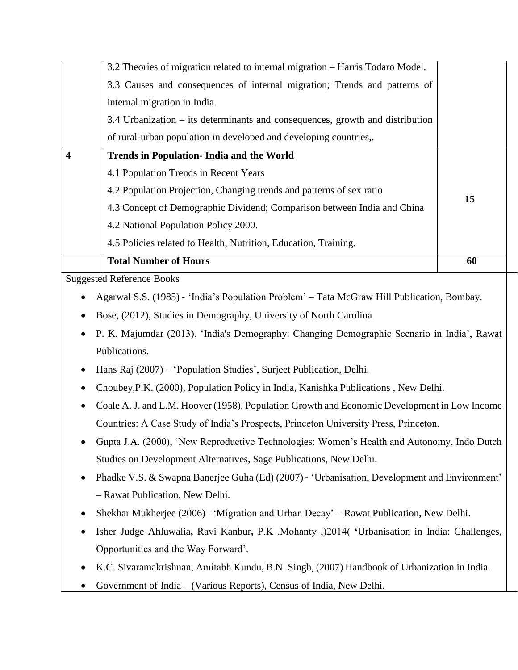|                                  | 3.2 Theories of migration related to internal migration - Harris Todaro Model.               |    |  |  |  |
|----------------------------------|----------------------------------------------------------------------------------------------|----|--|--|--|
|                                  | 3.3 Causes and consequences of internal migration; Trends and patterns of                    |    |  |  |  |
|                                  | internal migration in India.                                                                 |    |  |  |  |
|                                  | 3.4 Urbanization – its determinants and consequences, growth and distribution                |    |  |  |  |
|                                  | of rural-urban population in developed and developing countries,.                            |    |  |  |  |
| $\overline{\mathbf{4}}$          | <b>Trends in Population- India and the World</b>                                             |    |  |  |  |
|                                  | 4.1 Population Trends in Recent Years                                                        | 15 |  |  |  |
|                                  | 4.2 Population Projection, Changing trends and patterns of sex ratio                         |    |  |  |  |
|                                  | 4.3 Concept of Demographic Dividend; Comparison between India and China                      |    |  |  |  |
|                                  | 4.2 National Population Policy 2000.                                                         |    |  |  |  |
|                                  | 4.5 Policies related to Health, Nutrition, Education, Training.                              |    |  |  |  |
|                                  | <b>Total Number of Hours</b>                                                                 | 60 |  |  |  |
| <b>Suggested Reference Books</b> |                                                                                              |    |  |  |  |
|                                  | Agarwal S.S. (1985) - 'India's Population Problem' - Tata McGraw Hill Publication, Bombay.   |    |  |  |  |
|                                  | Bose, (2012), Studies in Demography, University of North Carolina                            |    |  |  |  |
|                                  | P. K. Majumdar (2013), 'India's Demography: Changing Demographic Scenario in India', Rawat   |    |  |  |  |
|                                  | Publications.                                                                                |    |  |  |  |
|                                  | Hans Raj (2007) – 'Population Studies', Surjeet Publication, Delhi.                          |    |  |  |  |
|                                  | Choubey, P.K. (2000), Population Policy in India, Kanishka Publications, New Delhi.          |    |  |  |  |
|                                  | Coale A. J. and L.M. Hoover (1958), Population Growth and Economic Development in Low Income |    |  |  |  |
|                                  | Countries: A Case Study of India's Prospects, Princeton University Press, Princeton.         |    |  |  |  |
|                                  | Gupta J.A. (2000), 'New Reproductive Technologies: Women's Health and Autonomy, Indo Dutch   |    |  |  |  |
|                                  | Studies on Development Alternatives, Sage Publications, New Delhi.                           |    |  |  |  |
|                                  | Phadke V.S. & Swapna Banerjee Guha (Ed) (2007) - 'Urbanisation, Development and Environment' |    |  |  |  |
|                                  | - Rawat Publication, New Delhi.                                                              |    |  |  |  |
|                                  | Shekhar Mukherjee (2006) – 'Migration and Urban Decay' – Rawat Publication, New Delhi.       |    |  |  |  |
|                                  | Isher Judge Ahluwalia, Ravi Kanbur, P.K. Mohanty , 2014 ('Urbanisation in India: Challenges, |    |  |  |  |
|                                  | Opportunities and the Way Forward'.                                                          |    |  |  |  |
|                                  | K.C. Sivaramakrishnan, Amitabh Kundu, B.N. Singh, (2007) Handbook of Urbanization in India.  |    |  |  |  |
|                                  | Government of India - (Various Reports), Census of India, New Delhi.                         |    |  |  |  |
|                                  |                                                                                              |    |  |  |  |